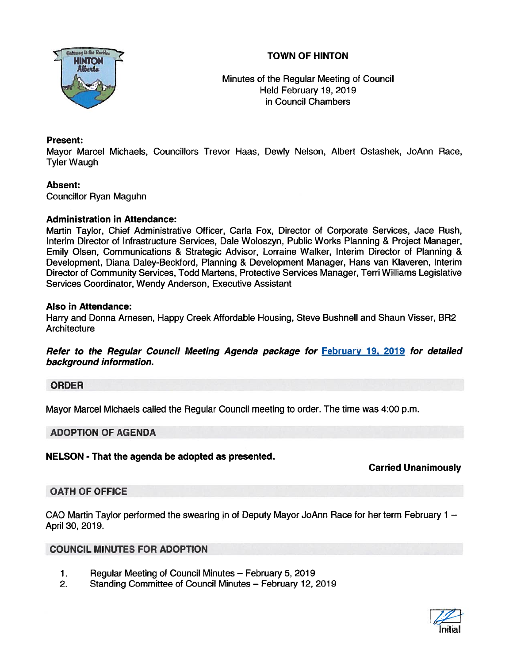



Minutes of the Regular Meeting of Council Held February 19, 2019 in Council Chambers

## Present:

Mayor Marcel Michaels, Councillors Trevor Haas, Dewly Nelson, Albert Ostashek, JoAnn Race, Tyler Waugh

# Absent:

Councillor Ryan Maguhn

## Administration in Attendance:

Martin Taylor, Chief Administrative Officer, Carla Fox, Director of Corporate Services, Jace Rush, Interim Director of Infrastructure Services, Dale Woloszyn, Public Works Planning & Project Manager, Emily Olsen, Communications & Strategic Advisor, Lorraine Walker, Interim Director of Planning & Development, Diana Daley-Beckford, Planning & Development Manager, Hans van Klaveren, Interim Director of Community Services, Todd Martens, Protective Services Manager, Tern Williams Legislative Services Coordinator, Wendy Anderson, Executive Assistant

### Also in Attendance:

Harry and Donna Arnesen, Happy Creek Affordable Housing, Steve Bushnell and Shaun Visser, BR2 **Architecture** 

Refer to the Regular Council Meeting Agenda package for February 19, 2019 for detailed background information.

## ORDER

Mayor Marcel Michaels called the Regular Council meeting to order. The time was 4:00 p.m.

## ADOPTION OF AGENDA

NELSON - That the agenda be adopted as presented.

# Carried Unanimously

## OATH OF OFFICE

CAO Martin Taylor performed the swearing in of Deputy Mayor JoAnn Race for her term February 1 — April 30, 2019.

## COUNCIL MINUTES FOR ADOPTION

- 1. Regular Meeting of Council Minutes February 5, 2019
- 2. Standing Committee of Council Minutes February 12, 2019

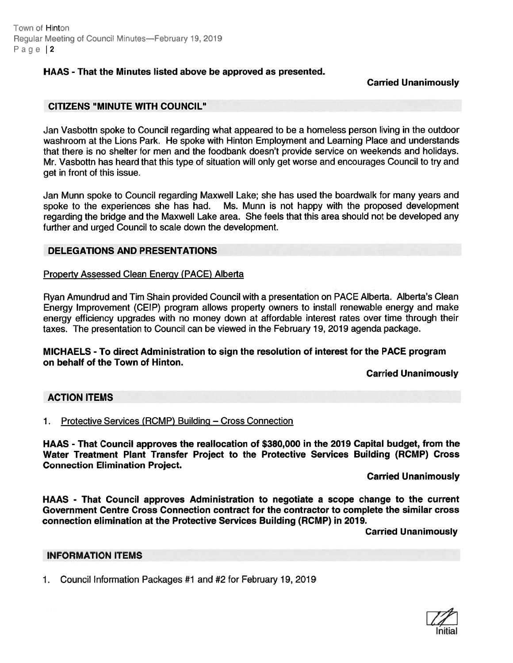Town of Hinton Regular Meeting of Council Minutes-February 19, 2019 Page | 2

### HAAS - That the Minutes listed above be approved as presented.

### Carried Unanimously

### CITIZENS "MINUTE WITH COUNCIL"

Jan Vasbottn spoke to Council regarding what appeared to be <sup>a</sup> homeless person living in the outdoor washroom at the Lions Park. He spoke with Hinton Employment and Learning Place and understands that there is no shelter for men and the foodbank doesn't provide service on weekends and holidays. Mr. Vasbottn has heard that this type of situation will only ge<sup>t</sup> worse and encourages Council to try and ge<sup>t</sup> in front of this issue.

Jan Munn spoke to Council regarding Maxwell Lake; she has used the boardwalk for many years and spoke to the experiences she has had. Ms. Munn is not happy with the proposed development regarding the bridge and the Maxwell Lake area. She feels that this area should not be developed any further and urged Council to scale down the development.

### DELEGATIONS AND PRESENTATIONS

#### Property Assessed Clean Energy (PACE) Alberta

Ryan Amundrud and Tim Shain provided Council with a presentation on PACE Alberta. Alberta's Clean Energy Improvement (CEIP) program allows property owners to install renewable energy and make energy efficiency upgrades with no money down at affordable interest rates over time through their taxes. The presentation to Council can be viewed in the February 19, 2019 agenda package.

### MICHAELS - To direct Administration to sign the resolution of interest for the PACE program on behalf of the Town of Hinton.

#### Carried Unanimously

### ACTION ITEMS

### 1. Protective Services (RCMP) Building — Cross Connection

HAAS - That Council approves the reallocation of \$380,000 in the 2019 Capital budget, from the Water Treatment Plant Transfer Project to the Protective Services Building (RCMP) Cross Connection Elimination Project.

#### Carried Unanimously

HAAS - That Council approves Administration to negotiate <sup>a</sup> scope change to the current Government Centre Cross Connection contract for the contractor to complete the similar cross connection elimination at the Protective Services Building (RCMP) in 2019.

Carried Unanimously

### INFORMATION ITEMS

1. Council Information Packages #1 and #2 for February 19, 2019

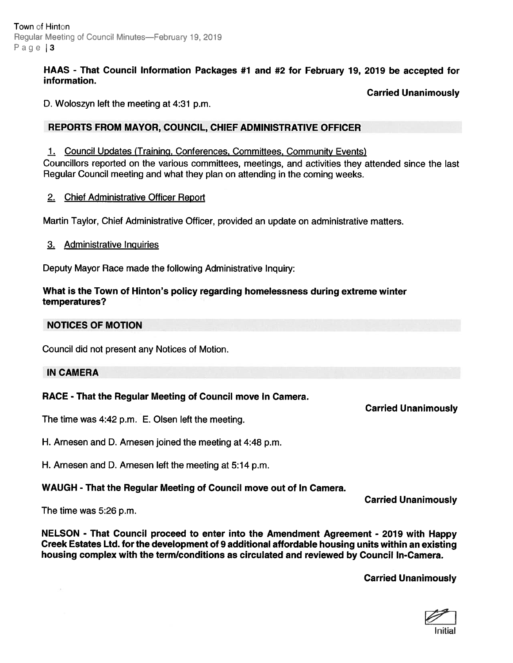Town of Hinton Regular Meeting of Council Minutes-February 19, 2019 Page  $|3$ 

### HAAS - That Council Information Packages #1 and #2 for February 19, 2019 be accepted for information.

Carried Unanimously

D. Woloszyn left the meeting at 4:31 p.m.

## REPORTS FROM MAYOR, COUNCIL, CHIEF ADMINISTRATIVE OFFICER

1. Council Updates (Training, Conferences, Committees, Community Events)

Councillors reported on the various committees, meetings, and activities they attended since the last Regular Council meeting and what they plan on attending in the coming weeks.

### 2. Chiet Administrative Officer Report

Martin Taylor, Chief Administrative Officer, provided an update on administrative matters.

3. Administrative Inquiries

Deputy Mayor Race made the following Administrative Inquiry:

### What is the Town of Hinton's policy regarding homelessness during extreme winter temperatures?

## NOTICES OF MOTION

Council did not presen<sup>t</sup> any Notices of Motion.

### IN CAMERA

## RACE - That the Regular Meeting of Council move In Camera.

The time was 4:42 p.m. E. Olsen left the meeting.

H. Arnesen and D. Arnesen joined the meeting at 4:48 p.m.

H. Arnesen and D. Arnesen left the meeting at 5:14 p.m.

## WAUGH - That the Regular Meeting of Council move out of In Camera.

Carried Unanimously

Carried Unanimously

The time was 5:26 p.m.

NELSON - That Council proceed to enter into the Amendment Agreement - 2079 with Happy Creek Estates Ltd. for the development of 9 additional affordable housing units within an existing housing complex with the term/conditions as circulated and reviewed by Council In-Camera.

Carried Unanimously